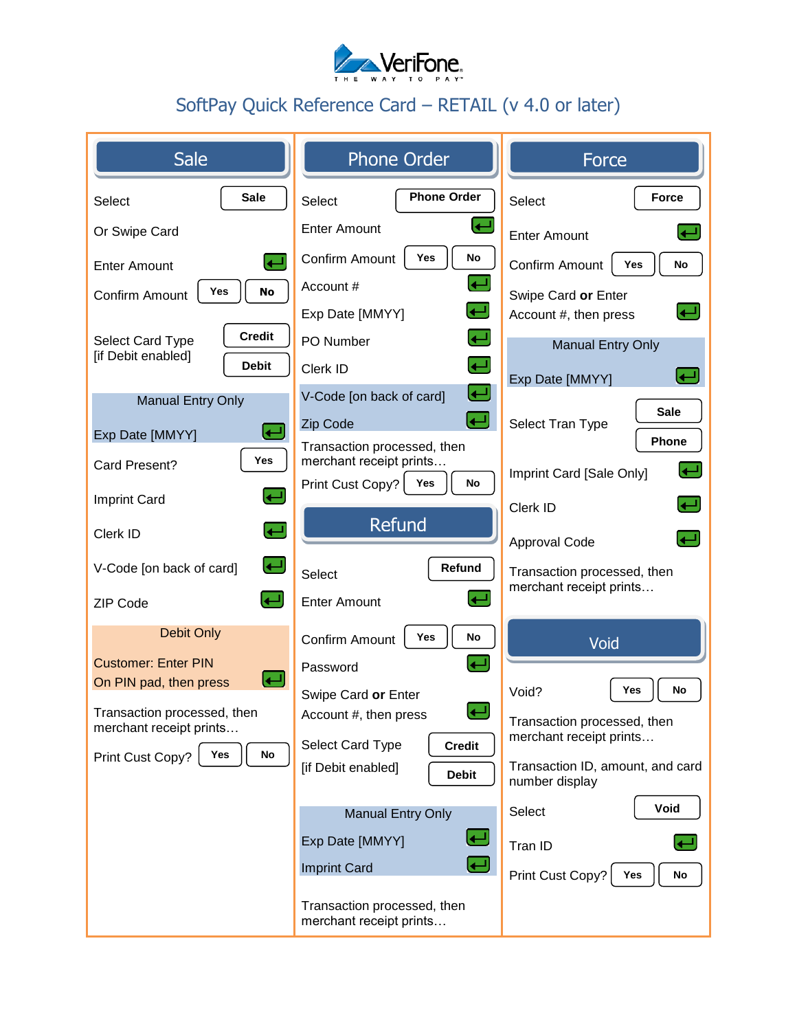

## SoftPay Quick Reference Card – RETAIL (v 4.0 or later)

| Sale                                                                    | <b>Phone Order</b>                                     | Force                                              |
|-------------------------------------------------------------------------|--------------------------------------------------------|----------------------------------------------------|
| <b>Sale</b><br>Select                                                   | <b>Phone Order</b><br>Select                           | <b>Force</b><br>Select                             |
| Or Swipe Card                                                           | <b>Enter Amount</b>                                    | <b>Enter Amount</b>                                |
| $\leftarrow$<br><b>Enter Amount</b>                                     | Yes<br>No<br>Confirm Amount                            | <b>No</b><br>Confirm Amount<br>Yes                 |
| Yes<br><b>No</b><br>Confirm Amount                                      | Account #                                              | Swipe Card or Enter                                |
|                                                                         | Exp Date [MMYY]                                        | Account #, then press                              |
| <b>Credit</b><br>Select Card Type<br>[if Debit enabled]<br><b>Debit</b> | PO Number                                              | <b>Manual Entry Only</b>                           |
|                                                                         | $\leftarrow$<br>Clerk ID                               | Exp Date [MMYY]                                    |
| <b>Manual Entry Only</b>                                                | كا<br>V-Code [on back of card]                         | <b>Sale</b>                                        |
| ر ب<br>Exp Date [MMYY]                                                  | $\overline{\mathbf{t}}$<br>Zip Code                    | Select Tran Type<br>Phone                          |
| Yes<br>Card Present?                                                    | Transaction processed, then<br>merchant receipt prints | ا کا                                               |
| <b>Imprint Card</b>                                                     | Print Cust Copy?<br>No<br>Yes                          | Imprint Card [Sale Only]                           |
|                                                                         | <b>Refund</b>                                          | Clerk ID                                           |
| رىسى<br>Clerk ID                                                        |                                                        | Approval Code                                      |
| رىي<br>V-Code [on back of card]                                         | Refund<br>Select                                       | Transaction processed, then                        |
| $\left(\rule{0pt}{12pt}\right.$<br>ZIP Code                             | <b>Enter Amount</b>                                    | merchant receipt prints                            |
| <b>Debit Only</b>                                                       | No<br>Yes<br>Confirm Amount                            | Void                                               |
| <b>Customer: Enter PIN</b>                                              | Password                                               |                                                    |
| راجها<br>On PIN pad, then press                                         | Swipe Card or Enter                                    | Yes<br><b>No</b><br>Void?                          |
| Transaction processed, then<br>merchant receipt prints                  | Account #, then press                                  | Transaction processed, then                        |
| Print Cust Copy?<br>Yes<br>No                                           | <b>Credit</b><br>Select Card Type                      | merchant receipt prints                            |
|                                                                         | [if Debit enabled]<br><b>Debit</b>                     | Transaction ID, amount, and card<br>number display |
|                                                                         | <b>Manual Entry Only</b>                               | Void<br>Select                                     |
|                                                                         | ر پ<br>Exp Date [MMYY]                                 | Tran ID                                            |
|                                                                         | <b>Imprint Card</b>                                    | Print Cust Copy?<br>No<br>Yes                      |
|                                                                         | Transaction processed, then<br>merchant receipt prints |                                                    |